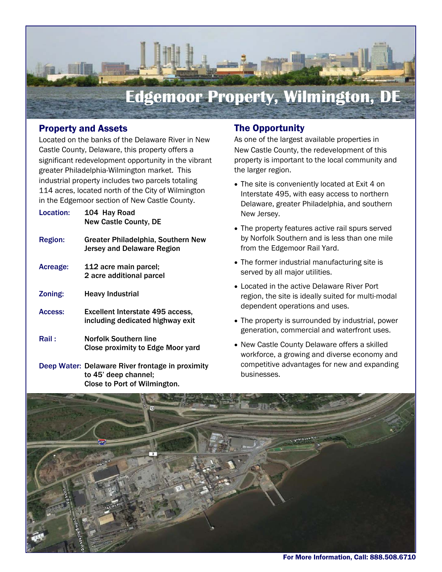

# Property and Assets

Located on the banks of the Delaware River in New Castle County, Delaware, this property offers a significant redevelopment opportunity in the vibrant greater Philadelphia-Wilmington market. This industrial property includes two parcels totaling 114 acres, located north of the City of Wilmington in the Edgemoor section of New Castle County.

| Location:      | 104 Hay Road<br><b>New Castle County, DE</b>                                |
|----------------|-----------------------------------------------------------------------------|
| <b>Region:</b> | Greater Philadelphia, Southern New<br>Jersey and Delaware Region            |
| Acreage:       | 112 acre main parcel;<br>2 acre additional parcel                           |
| Zoning:        | <b>Heavy Industrial</b>                                                     |
| Access:        | <b>Excellent Interstate 495 access,</b><br>including dedicated highway exit |
| Rail :         | Norfolk Southern line<br><b>Close proximity to Edge Moor yard</b>           |
|                | Deep Water: Delaware River frontage in proximity<br>to 45' deep channel;    |

Close to Port of Wilmington.

#### The Opportunity

As one of the largest available properties in New Castle County, the redevelopment of this property is important to the local community and the larger region.

- The site is conveniently located at Exit 4 on Interstate 495, with easy access to northern Delaware, greater Philadelphia, and southern New Jersey.
- The property features active rail spurs served by Norfolk Southern and is less than one mile from the Edgemoor Rail Yard.
- The former industrial manufacturing site is served by all major utilities.
- Located in the active Delaware River Port region, the site is ideally suited for multi-modal dependent operations and uses.
- The property is surrounded by industrial, power generation, commercial and waterfront uses.
- New Castle County Delaware offers a skilled workforce, a growing and diverse economy and competitive advantages for new and expanding businesses.